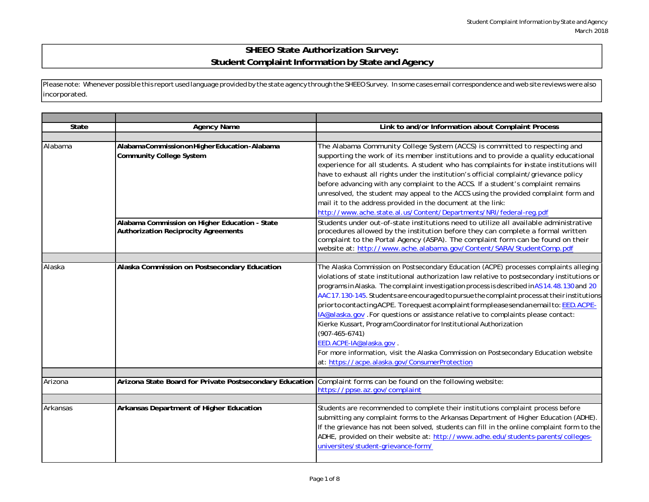## **SHEEO State Authorization Survey: Student Complaint Information by State and Agency**

Please note: Whenever possible this report used language provided by the state agency through the SHEEOSurvey. In some cases email correspondence and web site reviews were also incorporated.

| <b>State</b> | <b>Agency Name</b>                                                                            | Link to and/or Information about Complaint Process                                                                                                                                                                                                                                                                                                                                                                                                                                                                                                                                                                                                                                                                                                                                                                                         |
|--------------|-----------------------------------------------------------------------------------------------|--------------------------------------------------------------------------------------------------------------------------------------------------------------------------------------------------------------------------------------------------------------------------------------------------------------------------------------------------------------------------------------------------------------------------------------------------------------------------------------------------------------------------------------------------------------------------------------------------------------------------------------------------------------------------------------------------------------------------------------------------------------------------------------------------------------------------------------------|
|              |                                                                                               |                                                                                                                                                                                                                                                                                                                                                                                                                                                                                                                                                                                                                                                                                                                                                                                                                                            |
| Alabama      | AlabamaCommissiononHigherEducation-Alabama<br><b>Community College System</b>                 | The Alabama Community College System (ACCS) is committed to respecting and<br>supporting the work of its member institutions and to provide a quality educational<br>experience for all students. A student who has complaints for instate institutions will<br>have to exhaust all rights under the institution's official complaint/grievance policy<br>before advancing with any complaint to the ACCS. If a student's complaint remains<br>unresolved, the student may appeal to the ACCS using the provided complaint form and<br>mail it to the address provided in the document at the link:<br>http://www.ache.state.al.us/Content/Departments/NRI/federal-reg.pdf                                                                                                                                                                 |
|              | Alabama Commission on Higher Education - State<br><b>Authorization Reciprocity Agreements</b> | Students under out-of-state institutions need to utilize all available administrative<br>procedures allowed by the institution before they can complete a formal written<br>complaint to the Portal Agency (ASPA). The complaint form can be found on their<br>website at: http://www.ache.alabama.gov/Content/SARA/StudentComp.pdf                                                                                                                                                                                                                                                                                                                                                                                                                                                                                                        |
| Alaska       | Alaska Commission on Postsecondary Education                                                  | The Alaska Commission on Postsecondary Education (ACPE) processes complaints alleging<br>violations of state institutional authorization law relative to postsecondary institutions or<br>programs in Alaska. The complaint investigation process is described in AS 14.48.130 and 20<br>AAC 17.130-145. Students are encouraged to pursue the complaint process at their institutions<br>prior to contacting ACPE. To request a complaint form pleases endanemail to: EED. ACPE-<br>IA@alaska.gov .For questions or assistance relative to complaints please contact:<br>Kierke Kussart, Program Coordinator for Institutional Authorization<br>$(907 - 465 - 6741)$<br>EED.ACPE-IA@alaska.gov.<br>For more information, visit the Alaska Commission on Postsecondary Education website<br>at: https://acpe.alaska.gov/ConsumerProtection |
| Arizona      | Arizona State Board for Private Postsecondary Education                                       | Complaint forms can be found on the following website:<br>https://ppse.az.gov/complaint                                                                                                                                                                                                                                                                                                                                                                                                                                                                                                                                                                                                                                                                                                                                                    |
| Arkansas     | Arkansas Department of Higher Education                                                       | Students are recommended to complete their institutions complaint process before<br>submitting any complaint forms to the Arkansas Department of Higher Education (ADHE).<br>If the grievance has not been solved, students can fill in the online complaint form to the<br>ADHE, provided on their website at: http://www.adhe.edu/students-parents/colleges-<br>universites/student-grievance-form/                                                                                                                                                                                                                                                                                                                                                                                                                                      |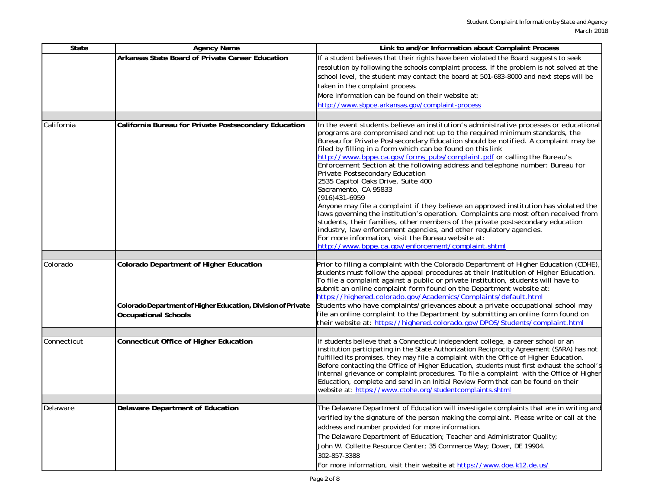| State       | <b>Agency Name</b>                                           | Link to and/or Information about Complaint Process                                                                                                                                                                                                                                                                                                                                                                                                                                                                                                                                                                                                                                                                                                                                                                                                                                                                                                                                                                                                        |
|-------------|--------------------------------------------------------------|-----------------------------------------------------------------------------------------------------------------------------------------------------------------------------------------------------------------------------------------------------------------------------------------------------------------------------------------------------------------------------------------------------------------------------------------------------------------------------------------------------------------------------------------------------------------------------------------------------------------------------------------------------------------------------------------------------------------------------------------------------------------------------------------------------------------------------------------------------------------------------------------------------------------------------------------------------------------------------------------------------------------------------------------------------------|
|             | Arkansas State Board of Private Career Education             | If a student believes that their rights have been violated the Board suggests to seek                                                                                                                                                                                                                                                                                                                                                                                                                                                                                                                                                                                                                                                                                                                                                                                                                                                                                                                                                                     |
|             |                                                              | resolution by following the schools complaint process. If the problem is not solved at the                                                                                                                                                                                                                                                                                                                                                                                                                                                                                                                                                                                                                                                                                                                                                                                                                                                                                                                                                                |
|             |                                                              | school level, the student may contact the board at 501-683-8000 and next steps will be                                                                                                                                                                                                                                                                                                                                                                                                                                                                                                                                                                                                                                                                                                                                                                                                                                                                                                                                                                    |
|             |                                                              | taken in the complaint process.                                                                                                                                                                                                                                                                                                                                                                                                                                                                                                                                                                                                                                                                                                                                                                                                                                                                                                                                                                                                                           |
|             |                                                              | More information can be found on their website at:                                                                                                                                                                                                                                                                                                                                                                                                                                                                                                                                                                                                                                                                                                                                                                                                                                                                                                                                                                                                        |
|             |                                                              | http://www.sbpce.arkansas.gov/complaint-process                                                                                                                                                                                                                                                                                                                                                                                                                                                                                                                                                                                                                                                                                                                                                                                                                                                                                                                                                                                                           |
|             |                                                              |                                                                                                                                                                                                                                                                                                                                                                                                                                                                                                                                                                                                                                                                                                                                                                                                                                                                                                                                                                                                                                                           |
| California  | California Bureau for Private Postsecondary Education        | In the event students believe an institution's administrative processes or educational<br>programs are compromised and not up to the required minimum standards, the<br>Bureau for Private Postsecondary Education should be notified. A complaint may be<br>filed by filling in a form which can be found on this link<br>http://www.bppe.ca.gov/forms_pubs/complaint.pdf or calling the Bureau's<br>Enforcement Section at the following address and telephone number: Bureau for<br>Private Postsecondary Education<br>2535 Capitol Oaks Drive, Suite 400<br>Sacramento, CA 95833<br>(916) 431-6959<br>Anyone may file a complaint if they believe an approved institution has violated the<br>laws governing the institution's operation. Complaints are most often received from<br>students, their families, other members of the private postsecondary education<br>industry, law enforcement agencies, and other regulatory agencies.<br>For more information, visit the Bureau website at:<br>http://www.bppe.ca.gov/enforcement/complaint.shtml |
|             |                                                              |                                                                                                                                                                                                                                                                                                                                                                                                                                                                                                                                                                                                                                                                                                                                                                                                                                                                                                                                                                                                                                                           |
| Colorado    | Colorado Department of Higher Education                      | Prior to filing a complaint with the Colorado Department of Higher Education (CDHE),<br>students must follow the appeal procedures at their Institution of Higher Education.<br>To file a complaint against a public or private institution, students will have to<br>submit an online complaint form found on the Department website at:<br>https://highered.colorado.gov/Academics/Complaints/default.html                                                                                                                                                                                                                                                                                                                                                                                                                                                                                                                                                                                                                                              |
|             | Colorado Department of Higher Education, Division of Private | Students who have complaints/grievances about a private occupational school may                                                                                                                                                                                                                                                                                                                                                                                                                                                                                                                                                                                                                                                                                                                                                                                                                                                                                                                                                                           |
|             | <b>Occupational Schools</b>                                  | file an online complaint to the Department by submitting an online form found on<br>their website at: https://highered.colorado.gov/DPOS/Students/complaint.html                                                                                                                                                                                                                                                                                                                                                                                                                                                                                                                                                                                                                                                                                                                                                                                                                                                                                          |
|             |                                                              |                                                                                                                                                                                                                                                                                                                                                                                                                                                                                                                                                                                                                                                                                                                                                                                                                                                                                                                                                                                                                                                           |
| Connecticut | <b>Connecticut Office of Higher Education</b>                | If students believe that a Connecticut independent college, a career school or an<br>institution participating in the State Authorization Reciprocity Agreement (SARA) has not<br>fulfilled its promises, they may file a complaint with the Office of Higher Education.<br>Before contacting the Office of Higher Education, students must first exhaust the school's<br>internal grievance or complaint procedures. To file a complaint with the Office of Higher<br>Education, complete and send in an Initial Review Form that can be found on their<br>website at: https://www.ctohe.org/studentcomplaints.shtml                                                                                                                                                                                                                                                                                                                                                                                                                                     |
|             |                                                              |                                                                                                                                                                                                                                                                                                                                                                                                                                                                                                                                                                                                                                                                                                                                                                                                                                                                                                                                                                                                                                                           |
| Delaware    | Delaware Department of Education                             | The Delaware Department of Education will investigate complaints that are in writing and<br>verified by the signature of the person making the complaint. Please write or call at the<br>address and number provided for more information.<br>The Delaware Department of Education; Teacher and Administrator Quality;<br>John W. Collette Resource Center; 35 Commerce Way; Dover, DE 19904.<br>302-857-3388<br>For more information, visit their website at https://www.doe.k12.de.us/                                                                                                                                                                                                                                                                                                                                                                                                                                                                                                                                                                  |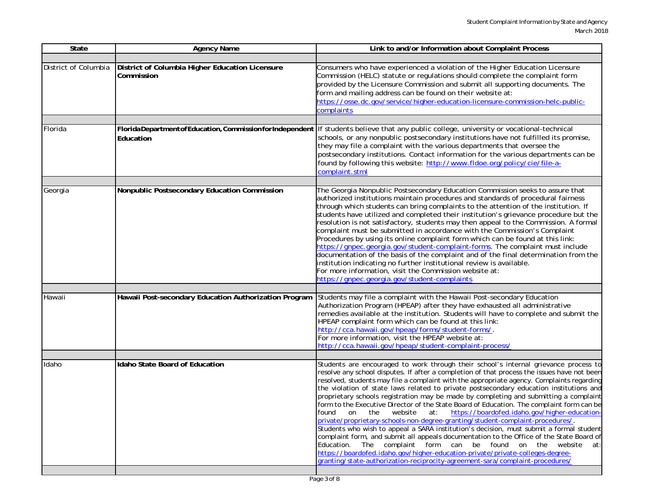| State                | <b>Agency Name</b>                                                      | Link to and/or Information about Complaint Process                                                                                                                                                                                                                                                                                                                                                                                                                                                                                                                                                                                                                                                                                                                                                                                                                                                                                                                                                                                                                                                                                                                  |
|----------------------|-------------------------------------------------------------------------|---------------------------------------------------------------------------------------------------------------------------------------------------------------------------------------------------------------------------------------------------------------------------------------------------------------------------------------------------------------------------------------------------------------------------------------------------------------------------------------------------------------------------------------------------------------------------------------------------------------------------------------------------------------------------------------------------------------------------------------------------------------------------------------------------------------------------------------------------------------------------------------------------------------------------------------------------------------------------------------------------------------------------------------------------------------------------------------------------------------------------------------------------------------------|
|                      |                                                                         |                                                                                                                                                                                                                                                                                                                                                                                                                                                                                                                                                                                                                                                                                                                                                                                                                                                                                                                                                                                                                                                                                                                                                                     |
| District of Columbia | District of Columbia Higher Education Licensure<br>Commission           | Consumers who have experienced a violation of the Higher Education Licensure<br>Commission (HELC) statute or regulations should complete the complaint form<br>provided by the Licensure Commission and submit all supporting documents. The<br>form and mailing address can be found on their website at:<br>https://osse.dc.gov/service/higher-education-licensure-commission-helc-public-<br>complaints                                                                                                                                                                                                                                                                                                                                                                                                                                                                                                                                                                                                                                                                                                                                                          |
|                      |                                                                         |                                                                                                                                                                                                                                                                                                                                                                                                                                                                                                                                                                                                                                                                                                                                                                                                                                                                                                                                                                                                                                                                                                                                                                     |
| Florida              | FloridaDepartment of Education, Commission for Independent<br>Education | If students believe that any public college, university or vocational-technical<br>schools, or any nonpublic postsecondary institutions have not fulfilled its promise,<br>they may file a complaint with the various departments that oversee the<br>postsecondary institutions. Contact information for the various departments can be<br>found by following this website: http://www.fldoe.org/policy/cie/file-a-<br>complaint.stml                                                                                                                                                                                                                                                                                                                                                                                                                                                                                                                                                                                                                                                                                                                              |
|                      |                                                                         |                                                                                                                                                                                                                                                                                                                                                                                                                                                                                                                                                                                                                                                                                                                                                                                                                                                                                                                                                                                                                                                                                                                                                                     |
| Georgia              | Nonpublic Postsecondary Education Commission                            | The Georgia Nonpublic Postsecondary Education Commission seeks to assure that<br>authorized institutions maintain procedures and standards of procedural fairness<br>through which students can bring complaints to the attention of the institution. If<br>students have utilized and completed their institution's grievance procedure but the<br>resolution is not satisfactory, students may then appeal to the Commission. A formal<br>complaint must be submitted in accordance with the Commission's Complaint<br>Procedures by using its online complaint form which can be found at this link:<br>https://gnpec.georgia.gov/student-complaint-forms. The complaint must include<br>documentation of the basis of the complaint and of the final determination from the<br>institution indicating no further institutional review is available.<br>For more information, visit the Commission website at:<br>https://gnpec.georgia.gov/student-complaints                                                                                                                                                                                                   |
|                      |                                                                         |                                                                                                                                                                                                                                                                                                                                                                                                                                                                                                                                                                                                                                                                                                                                                                                                                                                                                                                                                                                                                                                                                                                                                                     |
| Hawaii               | Hawaii Post-secondary Education Authorization Program                   | Students may file a complaint with the Hawaii Post-secondary Education<br>Authorization Program (HPEAP) after they have exhausted all administrative<br>remedies available at the institution. Students will have to complete and submit the<br>HPEAP complaint form which can be found at this link:<br>http://cca.hawaii.gov/hpeap/forms/student-forms/.<br>For more information, visit the HPEAP website at:<br>http://cca.hawaii.gov/hpeap/student-complaint-process/                                                                                                                                                                                                                                                                                                                                                                                                                                                                                                                                                                                                                                                                                           |
|                      |                                                                         |                                                                                                                                                                                                                                                                                                                                                                                                                                                                                                                                                                                                                                                                                                                                                                                                                                                                                                                                                                                                                                                                                                                                                                     |
| Idaho                | Idaho State Board of Education                                          | Students are encouraged to work through their school's internal grievance process to<br>resolve any school disputes. If after a completion of that process the issues have not been<br>resolved, students may file a complaint with the appropriate agency. Complaints regarding<br>the violation of state laws related to private postsecondary education institutions and<br>proprietary schools registration may be made by completing and submitting a complaint<br>form to the Executive Director of the State Board of Education. The complaint form can be<br>website<br>at: https://boardofed.idaho.gov/higher-education-<br>found<br>on the<br>private/proprietary-schools-non-degree-granting/student-complaint-procedures/.<br>Students who wish to appeal a SARA institution's decision, must submit a formal student<br>complaint form, and submit all appeals documentation to the Office of the State Board of<br>Education. The complaint form can be found on the website<br>at:<br>https://boardofed.idaho.gov/higher-education-private/private-colleges-degree-<br>granting/state-authorization-reciprocity-agreement-sara/complaint-procedures/ |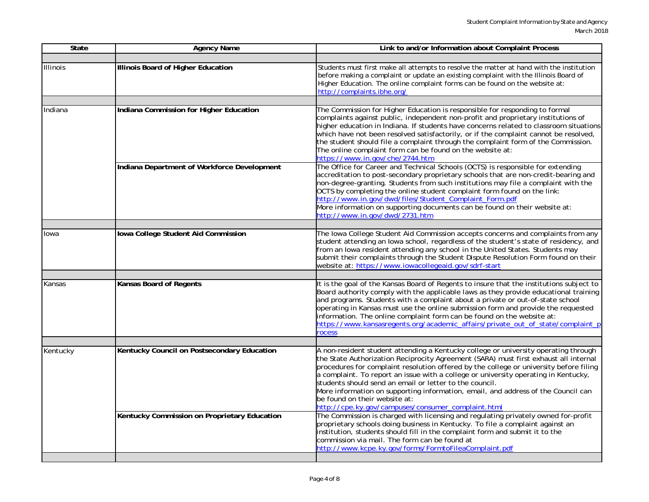| <b>State</b>    | <b>Agency Name</b>                           | Link to and/or Information about Complaint Process                                                                                                                                                                                                                                                                                                                                                                                                                                                                                                                                                  |
|-----------------|----------------------------------------------|-----------------------------------------------------------------------------------------------------------------------------------------------------------------------------------------------------------------------------------------------------------------------------------------------------------------------------------------------------------------------------------------------------------------------------------------------------------------------------------------------------------------------------------------------------------------------------------------------------|
|                 |                                              |                                                                                                                                                                                                                                                                                                                                                                                                                                                                                                                                                                                                     |
| <b>Illinois</b> | Illinois Board of Higher Education           | Students must first make all attempts to resolve the matter at hand with the institution<br>before making a complaint or update an existing complaint with the Illinois Board of<br>Higher Education. The online complaint forms can be found on the website at:<br>http://complaints.ibhe.org/                                                                                                                                                                                                                                                                                                     |
|                 |                                              |                                                                                                                                                                                                                                                                                                                                                                                                                                                                                                                                                                                                     |
| Indiana         | Indiana Commission for Higher Education      | The Commission for Higher Education is responsible for responding to formal<br>complaints against public, independent non-profit and proprietary institutions of<br>higher education in Indiana. If students have concerns related to classroom situations<br>which have not been resolved satisfactorily, or if the complaint cannot be resolved,<br>the student should file a complaint through the complaint form of the Commission.<br>The online complaint form can be found on the website at:<br>https://www.in.gov/che/2744.htm                                                             |
|                 | Indiana Department of Workforce Development  | The Office for Career and Technical Schools (OCTS) is responsible for extending<br>accreditation to post-secondary proprietary schools that are non-credit-bearing and<br>non-degree-granting. Students from such institutions may file a complaint with the<br>OCTS by completing the online student complaint form found on the link:<br>http://www.in.gov/dwd/files/Student_Complaint_Form.pdf<br>More information on supporting documents can be found on their website at:<br>http://www.in.gov/dwd/2731.htm                                                                                   |
| Iowa            | Iowa College Student Aid Commission          | The Iowa College Student Aid Commission accepts concerns and complaints from any<br>student attending an lowa school, regardless of the student's state of residency, and<br>from an lowa resident attending any school in the United States. Students may<br>submit their complaints through the Student Dispute Resolution Form found on their<br>website at: https://www.iowacollegeaid.gov/sdrf-start                                                                                                                                                                                           |
|                 |                                              |                                                                                                                                                                                                                                                                                                                                                                                                                                                                                                                                                                                                     |
| Kansas          | Kansas Board of Regents                      | It is the goal of the Kansas Board of Regents to insure that the institutions subject to<br>Board authority comply with the applicable laws as they provide educational training<br>and programs. Students with a complaint about a private or out-of-state school<br>operating in Kansas must use the online submission form and provide the requested<br>information. The online complaint form can be found on the website at:<br>https://www.kansasregents.org/academic_affairs/private_out_of_state/complaint_p<br><b>OCESS</b>                                                                |
| Kentucky        | Kentucky Council on Postsecondary Education  | A non-resident student attending a Kentucky college or university operating through<br>the State Authorization Reciprocity Agreement (SARA) must first exhaust all internal<br>procedures for complaint resolution offered by the college or university before filing<br>a complaint. To report an issue with a college or university operating in Kentucky,<br>students should send an email or letter to the council.<br>More information on supporting information, email, and address of the Council can<br>be found on their website at:<br>http://cpe.ky.gov/campuses/consumer_complaint.html |
|                 | Kentucky Commission on Proprietary Education | The Commission is charged with licensing and regulating privately owned for-profit<br>proprietary schools doing business in Kentucky. To file a complaint against an<br>institution, students should fill in the complaint form and submit it to the<br>commission via mail. The form can be found at<br>http://www.kcpe.ky.gov/forms/FormtoFileaComplaint.pdf                                                                                                                                                                                                                                      |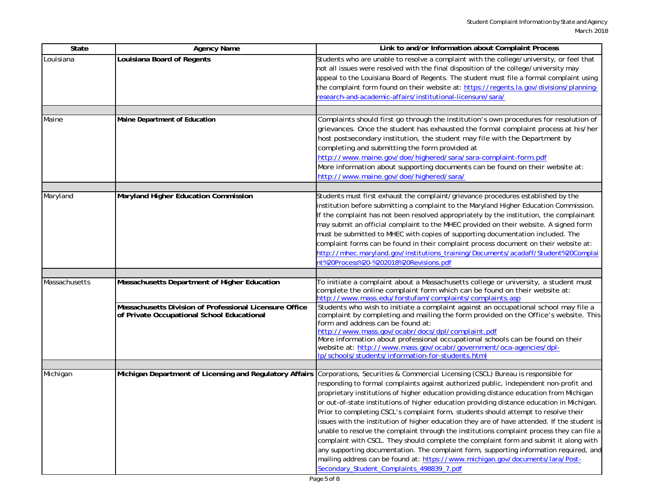| State         | <b>Agency Name</b>                                                                                      | Link to and/or Information about Complaint Process                                                                                                                                                                                                                                                                                                                                                                                                                                                                                                                                                                                                                                                                                                                                                                                                                                                                                                                        |
|---------------|---------------------------------------------------------------------------------------------------------|---------------------------------------------------------------------------------------------------------------------------------------------------------------------------------------------------------------------------------------------------------------------------------------------------------------------------------------------------------------------------------------------------------------------------------------------------------------------------------------------------------------------------------------------------------------------------------------------------------------------------------------------------------------------------------------------------------------------------------------------------------------------------------------------------------------------------------------------------------------------------------------------------------------------------------------------------------------------------|
| Louisiana     | Louisiana Board of Regents                                                                              | Students who are unable to resolve a complaint with the college/university, or feel that<br>not all issues were resolved with the final disposition of the college/university may<br>appeal to the Louisiana Board of Regents. The student must file a formal complaint using<br>the complaint form found on their website at: https://regents.la.gov/divisions/planning-<br>esearch-and-academic-affairs/institutional-licensure/sara/                                                                                                                                                                                                                                                                                                                                                                                                                                                                                                                                   |
|               |                                                                                                         |                                                                                                                                                                                                                                                                                                                                                                                                                                                                                                                                                                                                                                                                                                                                                                                                                                                                                                                                                                           |
| Maine         | Maine Department of Education                                                                           | Complaints should first go through the institution's own procedures for resolution of<br>grievances. Once the student has exhausted the formal complaint process at his/her<br>host postsecondary institution, the student may file with the Department by<br>completing and submitting the form provided at<br>http://www.maine.gov/doe/highered/sara/sara-complaint-form.pdf<br>More information about supporting documents can be found on their website at:<br>http://www.maine.gov/doe/highered/sara/                                                                                                                                                                                                                                                                                                                                                                                                                                                                |
|               |                                                                                                         |                                                                                                                                                                                                                                                                                                                                                                                                                                                                                                                                                                                                                                                                                                                                                                                                                                                                                                                                                                           |
| Maryland      | Maryland Higher Education Commission                                                                    | Students must first exhaust the complaint/grievance procedures established by the<br>institution before submitting a complaint to the Maryland Higher Education Commission.<br>If the complaint has not been resolved appropriately by the institution, the complainant<br>may submit an official complaint to the MHEC provided on their website. A signed form<br>must be submitted to MHEC with copies of supporting documentation included. The<br>complaint forms can be found in their complaint process document on their website at:<br>http://mhec.maryland.gov/institutions_training/Documents/acadaff/Student%20Complai<br>ht%20Process%20-%202018%20Revisions.pdf                                                                                                                                                                                                                                                                                             |
|               |                                                                                                         |                                                                                                                                                                                                                                                                                                                                                                                                                                                                                                                                                                                                                                                                                                                                                                                                                                                                                                                                                                           |
| Massachusetts | Massachusetts Department of Higher Education<br>Massachusetts Division of Professional Licensure Office | To initiate a complaint about a Massachusetts college or university, a student must<br>complete the online complaint form which can be found on their website at:<br>http://www.mass.edu/forstufam/complaints/complaints.asp<br>Students who wish to initiate a complaint against an occupational school may file a                                                                                                                                                                                                                                                                                                                                                                                                                                                                                                                                                                                                                                                       |
|               | of Private Occupational School Educational                                                              | complaint by completing and mailing the form provided on the Office's website. This<br>form and address can be found at:<br>http://www.mass.gov/ocabr/docs/dpl/complaint.pdf<br>More information about professional occupational schools can be found on their<br>website at: http://www.mass.gov/ocabr/government/oca-agencies/dpl-<br>lp/schools/students/information-for-students.html                                                                                                                                                                                                                                                                                                                                                                                                                                                                                                                                                                                 |
| Michigan      | Michigan Department of Licensing and Regulatory Affairs                                                 | Corporations, Securities & Commercial Licensing (CSCL) Bureau is responsible for<br>responding to formal complaints against authorized public, independent non-profit and<br>proprietary institutions of higher education providing distance education from Michigan<br>or out-of-state institutions of higher education providing distance education in Michigan.<br>Prior to completing CSCL's complaint form, students should attempt to resolve their<br>issues with the institution of higher education they are of have attended. If the student is<br>unable to resolve the complaint through the institutions complaint process they can file a<br>complaint with CSCL. They should complete the complaint form and submit it along with<br>any supporting documentation. The complaint form, supporting information required, and<br>mailing address can be found at: https://www.michigan.gov/documents/lara/Post-<br>Secondary_Student_Complaints_498839_7.pdf |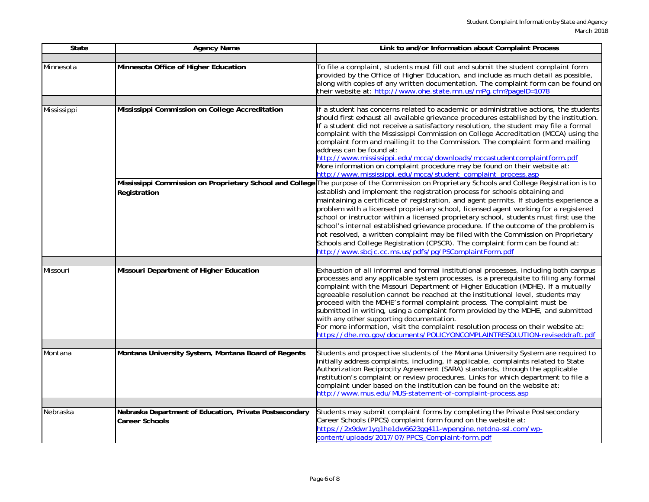| State       | <b>Agency Name</b>                                                               | Link to and/or Information about Complaint Process                                                                                                                                                                                                                                                                                                                                                                                                                                                                                                                                                                                                                                                                                                                                                                          |
|-------------|----------------------------------------------------------------------------------|-----------------------------------------------------------------------------------------------------------------------------------------------------------------------------------------------------------------------------------------------------------------------------------------------------------------------------------------------------------------------------------------------------------------------------------------------------------------------------------------------------------------------------------------------------------------------------------------------------------------------------------------------------------------------------------------------------------------------------------------------------------------------------------------------------------------------------|
| Minnesota   | Minnesota Office of Higher Education                                             | To file a complaint, students must fill out and submit the student complaint form<br>provided by the Office of Higher Education, and include as much detail as possible,<br>along with copies of any written documentation. The complaint form can be found on<br>their website at: http://www.ohe.state.mn.us/mPg.cfm?pageID=1078                                                                                                                                                                                                                                                                                                                                                                                                                                                                                          |
|             |                                                                                  |                                                                                                                                                                                                                                                                                                                                                                                                                                                                                                                                                                                                                                                                                                                                                                                                                             |
| Mississippi | Mississippi Commission on College Accreditation                                  | If a student has concerns related to academic or administrative actions, the students<br>should first exhaust all available grievance procedures established by the institution.<br>If a student did not receive a satisfactory resolution, the student may file a formal<br>complaint with the Mississippi Commission on College Accreditation (MCCA) using the<br>complaint form and mailing it to the Commission. The complaint form and mailing<br>address can be found at:<br>http://www.mississippi.edu/mcca/downloads/mccastudentcomplaintform.pdf<br>More information on complaint procedure may be found on their website at:<br>http://www.mississippi.edu/mcca/student_complaint_process.asp                                                                                                                     |
|             | Registration                                                                     | Mississippi Commission on Proprietary School and College The purpose of the Commission on Proprietary Schools and College Registration is to<br>establish and implement the registration process for schools obtaining and<br>maintaining a certificate of registration, and agent permits. If students experience a<br>problem with a licensed proprietary school, licensed agent working for a registered<br>school or instructor within a licensed proprietary school, students must first use the<br>school's internal established grievance procedure. If the outcome of the problem is<br>not resolved, a written complaint may be filed with the Commission on Proprietary<br>Schools and College Registration (CPSCR). The complaint form can be found at:<br>http://www.sbcjc.cc.ms.us/pdfs/pq/PSComplaintForm.pdf |
| Missouri    | Missouri Department of Higher Education                                          | Exhaustion of all informal and formal institutional processes, including both campus<br>processes and any applicable system processes, is a prerequisite to filing any formal<br>complaint with the Missouri Department of Higher Education (MDHE). If a mutually<br>agreeable resolution cannot be reached at the institutional level, students may<br>proceed with the MDHE's formal complaint process. The complaint must be<br>submitted in writing, using a complaint form provided by the MDHE, and submitted<br>with any other supporting documentation.<br>For more information, visit the complaint resolution process on their website at:<br>https://dhe.mo.gov/documents/POLICYONCOMPLAINTRESOLUTION-reviseddraft.pdf                                                                                           |
| Montana     | Montana University System, Montana Board of Regents                              | Students and prospective students of the Montana University System are required to<br>initially address complaints, including, if applicable, complaints related to State<br>Authorization Reciprocity Agreement (SARA) standards, through the applicable<br>institution's complaint or review procedures. Links for which department to file a<br>complaint under based on the institution can be found on the website at:<br>http://www.mus.edu/MUS-statement-of-complaint-process.asp                                                                                                                                                                                                                                                                                                                                    |
| Nebraska    | Nebraska Department of Education, Private Postsecondary<br><b>Career Schools</b> | Students may submit complaint forms by completing the Private Postsecondary<br>Career Schools (PPCS) complaint form found on the website at:<br>https://2x9dwr1yq1he1dw6623qq411-wpengine.netdna-ssl.com/wp-<br>content/uploads/2017/07/PPCS_Complaint-form.pdf                                                                                                                                                                                                                                                                                                                                                                                                                                                                                                                                                             |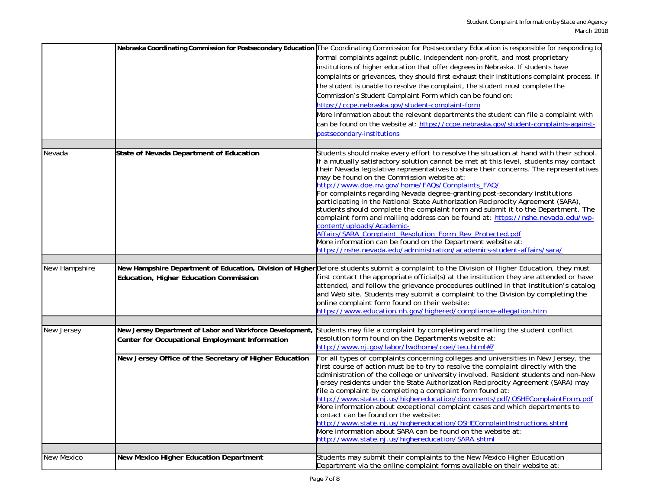|               |                                                                                                             | Nebraska Coordinating Commission for Postsecondary Education The Coordinating Commission for Postsecondary Education is responsible for responding to                                                                                                                                                                                                                                                                                                                                                                                                                                                                                                                                                                                                                                                                                                                                                                                               |
|---------------|-------------------------------------------------------------------------------------------------------------|-----------------------------------------------------------------------------------------------------------------------------------------------------------------------------------------------------------------------------------------------------------------------------------------------------------------------------------------------------------------------------------------------------------------------------------------------------------------------------------------------------------------------------------------------------------------------------------------------------------------------------------------------------------------------------------------------------------------------------------------------------------------------------------------------------------------------------------------------------------------------------------------------------------------------------------------------------|
|               |                                                                                                             | formal complaints against public, independent non-profit, and most proprietary                                                                                                                                                                                                                                                                                                                                                                                                                                                                                                                                                                                                                                                                                                                                                                                                                                                                      |
|               |                                                                                                             | institutions of higher education that offer degrees in Nebraska. If students have                                                                                                                                                                                                                                                                                                                                                                                                                                                                                                                                                                                                                                                                                                                                                                                                                                                                   |
|               |                                                                                                             | complaints or grievances, they should first exhaust their institutions complaint process. If                                                                                                                                                                                                                                                                                                                                                                                                                                                                                                                                                                                                                                                                                                                                                                                                                                                        |
|               |                                                                                                             | the student is unable to resolve the complaint, the student must complete the                                                                                                                                                                                                                                                                                                                                                                                                                                                                                                                                                                                                                                                                                                                                                                                                                                                                       |
|               |                                                                                                             | Commission's Student Complaint Form which can be found on:                                                                                                                                                                                                                                                                                                                                                                                                                                                                                                                                                                                                                                                                                                                                                                                                                                                                                          |
|               |                                                                                                             | https://ccpe.nebraska.gov/student-complaint-form                                                                                                                                                                                                                                                                                                                                                                                                                                                                                                                                                                                                                                                                                                                                                                                                                                                                                                    |
|               |                                                                                                             | More information about the relevant departments the student can file a complaint with                                                                                                                                                                                                                                                                                                                                                                                                                                                                                                                                                                                                                                                                                                                                                                                                                                                               |
|               |                                                                                                             | can be found on the website at: https://ccpe.nebraska.gov/student-complaints-against-                                                                                                                                                                                                                                                                                                                                                                                                                                                                                                                                                                                                                                                                                                                                                                                                                                                               |
|               |                                                                                                             | postsecondary-institutions                                                                                                                                                                                                                                                                                                                                                                                                                                                                                                                                                                                                                                                                                                                                                                                                                                                                                                                          |
|               |                                                                                                             |                                                                                                                                                                                                                                                                                                                                                                                                                                                                                                                                                                                                                                                                                                                                                                                                                                                                                                                                                     |
| Nevada        | State of Nevada Department of Education                                                                     | Students should make every effort to resolve the situation at hand with their school.<br>If a mutually satisfactory solution cannot be met at this level, students may contact<br>their Nevada legislative representatives to share their concerns. The representatives<br>may be found on the Commission website at:<br>http://www.doe.nv.gov/home/FAQs/Complaints_FAQ/<br>For complaints regarding Nevada degree-granting post-secondary institutions<br>participating in the National State Authorization Reciprocity Agreement (SARA),<br>students should complete the complaint form and submit it to the Department. The<br>complaint form and mailing address can be found at: https://nshe.nevada.edu/wp-<br>content/uploads/Academic-<br>Affairs/SARA_Complaint_Resolution_Form_Rev_Protected.pdf<br>More information can be found on the Department website at:<br>https://nshe.nevada.edu/administration/academics-student-affairs/sara/ |
|               |                                                                                                             |                                                                                                                                                                                                                                                                                                                                                                                                                                                                                                                                                                                                                                                                                                                                                                                                                                                                                                                                                     |
| New Hampshire | Education, Higher Education Commission                                                                      | New Hampshire Department of Education, Division of Higher Before students submit a complaint to the Division of Higher Education, they must<br>first contact the appropriate official(s) at the institution they are attended or have<br>attended, and follow the grievance procedures outlined in that institution's catalog<br>and Web site. Students may submit a complaint to the Division by completing the<br>online complaint form found on their website:<br>https://www.education.nh.gov/highered/compliance-allegation.htm                                                                                                                                                                                                                                                                                                                                                                                                                |
|               |                                                                                                             |                                                                                                                                                                                                                                                                                                                                                                                                                                                                                                                                                                                                                                                                                                                                                                                                                                                                                                                                                     |
| New Jersey    | New Jersey Department of Labor and Workforce Development,<br>Center for Occupational Employment Information | Students may file a complaint by completing and mailing the student conflict<br>resolution form found on the Departments website at:<br>http://www.nj.gov/labor/lwdhome/coei/teu.html#7                                                                                                                                                                                                                                                                                                                                                                                                                                                                                                                                                                                                                                                                                                                                                             |
|               | New Jersey Office of the Secretary of Higher Education                                                      | For all types of complaints concerning colleges and universities in New Jersey, the<br>first course of action must be to try to resolve the complaint directly with the<br>administration of the college or university involved. Resident students and non-New<br>Jersey residents under the State Authorization Reciprocity Agreement (SARA) may<br>file a complaint by completing a complaint form found at:<br>http://www.state.nj.us/highereducation/documents/pdf/OSHEComplaintForm.pdf<br>More information about exceptional complaint cases and which departments to<br>contact can be found on the website:<br>http://www.state.nj.us/highereducation/OSHEComplaintInstructions.shtml<br>More information about SARA can be found on the website at:<br>http://www.state.nj.us/highereducation/SARA.shtml                                                                                                                                   |
| New Mexico    | New Mexico Higher Education Department                                                                      | Students may submit their complaints to the New Mexico Higher Education<br>Department via the online complaint forms available on their website at:                                                                                                                                                                                                                                                                                                                                                                                                                                                                                                                                                                                                                                                                                                                                                                                                 |
|               |                                                                                                             |                                                                                                                                                                                                                                                                                                                                                                                                                                                                                                                                                                                                                                                                                                                                                                                                                                                                                                                                                     |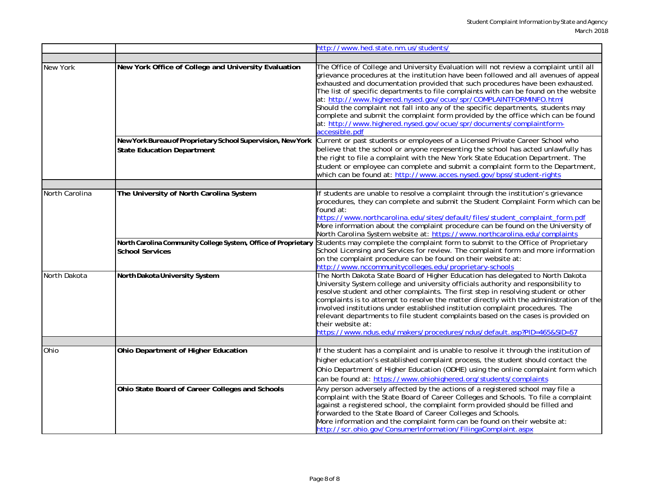|                |                                                                                          | http://www.hed.state.nm.us/students/                                                                                                                                                                                                                                                                                                                                                                                                                                                                                                                                                                                                                                                          |
|----------------|------------------------------------------------------------------------------------------|-----------------------------------------------------------------------------------------------------------------------------------------------------------------------------------------------------------------------------------------------------------------------------------------------------------------------------------------------------------------------------------------------------------------------------------------------------------------------------------------------------------------------------------------------------------------------------------------------------------------------------------------------------------------------------------------------|
|                |                                                                                          |                                                                                                                                                                                                                                                                                                                                                                                                                                                                                                                                                                                                                                                                                               |
| New York       | New York Office of College and University Evaluation                                     | The Office of College and University Evaluation will not review a complaint until all<br>grievance procedures at the institution have been followed and all avenues of appeal<br>exhausted and documentation provided that such procedures have been exhausted.<br>The list of specific departments to file complaints with can be found on the website<br>at: http://www.highered.nysed.gov/ocue/spr/COMPLAINTFORMINFO.html<br>Should the complaint not fall into any of the specific departments, students may<br>complete and submit the complaint form provided by the office which can be found<br>at: http://www.highered.nysed.gov/ocue/spr/documents/complaintform-<br>accessible.pdf |
|                | New York Bureau of Proprietary School Supervision, New York                              | Current or past students or employees of a Licensed Private Career School who                                                                                                                                                                                                                                                                                                                                                                                                                                                                                                                                                                                                                 |
|                | <b>State Education Department</b>                                                        | believe that the school or anyone representing the school has acted unlawfully has<br>the right to file a complaint with the New York State Education Department. The<br>student or employee can complete and submit a complaint form to the Department,<br>which can be found at: http://www.acces.nysed.gov/bpss/student-rights                                                                                                                                                                                                                                                                                                                                                             |
|                | The University of North Carolina System                                                  | If students are unable to resolve a complaint through the institution's grievance                                                                                                                                                                                                                                                                                                                                                                                                                                                                                                                                                                                                             |
| North Carolina |                                                                                          | procedures, they can complete and submit the Student Complaint Form which can be<br>found at:<br>https://www.northcarolina.edu/sites/default/files/student_complaint_form.pdf<br>More information about the complaint procedure can be found on the University of<br>North Carolina System website at: https://www.northcarolina.edu/complaints                                                                                                                                                                                                                                                                                                                                               |
|                | North Carolina Community College System, Office of Proprietary<br><b>School Services</b> | Students may complete the complaint form to submit to the Office of Proprietary<br>School Licensing and Services for review. The complaint form and more information<br>on the complaint procedure can be found on their website at:<br>http://www.nccommunitycolleges.edu/proprietary-schools                                                                                                                                                                                                                                                                                                                                                                                                |
| North Dakota   | North Dakota University System                                                           | The North Dakota State Board of Higher Education has delegated to North Dakota<br>University System college and university officials authority and responsibility to<br>resolve student and other complaints. The first step in resolving student or other<br>complaints is to attempt to resolve the matter directly with the administration of the<br>involved institutions under established institution complaint procedures. The<br>relevant departments to file student complaints based on the cases is provided on<br>their website at:<br>https://www.ndus.edu/makers/procedures/ndus/default.asp?PID=465&SID=57                                                                     |
|                |                                                                                          |                                                                                                                                                                                                                                                                                                                                                                                                                                                                                                                                                                                                                                                                                               |
| Ohio           | Ohio Department of Higher Education                                                      | If the student has a complaint and is unable to resolve it through the institution of<br>higher education's established complaint process, the student should contact the<br>Ohio Department of Higher Education (ODHE) using the online complaint form which<br>can be found at: https://www.ohiohighered.org/students/complaints                                                                                                                                                                                                                                                                                                                                                            |
|                | Ohio State Board of Career Colleges and Schools                                          | Any person adversely affected by the actions of a registered school may file a<br>complaint with the State Board of Career Colleges and Schools. To file a complaint<br>against a registered school, the complaint form provided should be filled and<br>forwarded to the State Board of Career Colleges and Schools.<br>More information and the complaint form can be found on their website at:<br>http://scr.ohio.gov/ConsumerInformation/FilingaComplaint.aspx                                                                                                                                                                                                                           |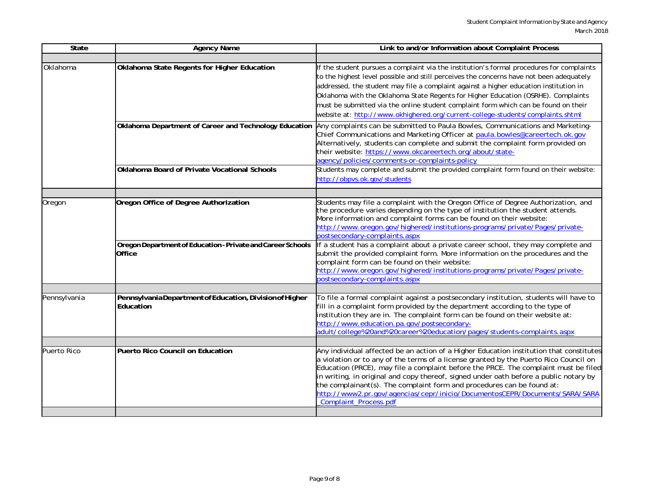| State        | <b>Agency Name</b>                                                    | Link to and/or Information about Complaint Process                                                                                                                                                                                                                                                                                                                                                                                                                                                                                                       |
|--------------|-----------------------------------------------------------------------|----------------------------------------------------------------------------------------------------------------------------------------------------------------------------------------------------------------------------------------------------------------------------------------------------------------------------------------------------------------------------------------------------------------------------------------------------------------------------------------------------------------------------------------------------------|
|              |                                                                       |                                                                                                                                                                                                                                                                                                                                                                                                                                                                                                                                                          |
| Oklahoma     | Oklahoma State Regents for Higher Education                           | If the student pursues a complaint via the institution's formal procedures for complaints<br>to the highest level possible and still perceives the concerns have not been adequately<br>addressed, the student may file a complaint against a higher education institution in<br>Oklahoma with the Oklahoma State Regents for Higher Education (OSRHE). Complaints<br>must be submitted via the online student complaint form which can be found on their<br>website at: http://www.okhighered.org/current-college-students/complaints.shtml             |
|              | Oklahoma Department of Career and Technology Education                | Any complaints can be submitted to Paula Bowles, Communications and Marketing-<br>Chief Communications and Marketing Officer at paula.bowles@careertech.ok.gov<br>Alternatively, students can complete and submit the complaint form provided on<br>their website: https://www.okcareertech.org/about/state-<br>agency/policies/comments-or-complaints-policy                                                                                                                                                                                            |
|              | Oklahoma Board of Private Vocational Schools                          | Students may complete and submit the provided complaint form found on their website:<br>http://obpvs.ok.gov/students                                                                                                                                                                                                                                                                                                                                                                                                                                     |
| Oregon       | Oregon Office of Degree Authorization                                 | Students may file a complaint with the Oregon Office of Degree Authorization, and<br>the procedure varies depending on the type of institution the student attends.<br>More information and complaint forms can be found on their website:<br>http://www.oregon.gov/highered/institutions-programs/private/Pages/private-<br>postsecondary-complaints.aspx                                                                                                                                                                                               |
|              | Oregon Department of Education - Private and Career Schools<br>Office | If a student has a complaint about a private career school, they may complete and<br>submit the provided complaint form. More information on the procedures and the<br>complaint form can be found on their website:<br>http://www.oregon.gov/highered/institutions-programs/private/Pages/private-<br>postsecondary-complaints.aspx                                                                                                                                                                                                                     |
| Pennsylvania | PennsylvaniaDepartment of Education, Division of Higher<br>Education  | To file a formal complaint against a postsecondary institution, students will have to<br>fill in a complaint form provided by the department according to the type of<br>institution they are in. The complaint form can be found on their website at:<br>http://www.education.pa.gov/postsecondary-<br>adult/college%20and%20career%20education/pages/students-complaints.aspx                                                                                                                                                                          |
| Puerto Rico  | Puerto Rico Council on Education                                      | Any individual affected be an action of a Higher Education institution that constitutes<br>a violation or to any of the terms of a license granted by the Puerto Rico Council on<br>Education (PRCE), may file a complaint before the PRCE. The complaint must be filed<br>in writing, in original and copy thereof, signed under oath before a public notary by<br>the complainant(s). The complaint form and procedures can be found at:<br>http://www2.pr.gov/agencias/cepr/inicio/DocumentosCEPR/Documents/SARA/SARA<br><b>Complaint_Process.pdf</b> |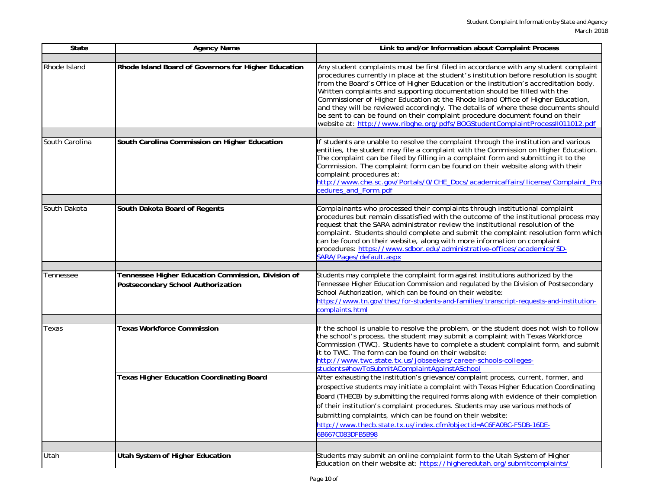| <b>State</b>   | <b>Agency Name</b>                                                                       | Link to and/or Information about Complaint Process                                                                                                                                                                                                                                                                                                                                                                                                                                                                                                                                                                                                                                            |
|----------------|------------------------------------------------------------------------------------------|-----------------------------------------------------------------------------------------------------------------------------------------------------------------------------------------------------------------------------------------------------------------------------------------------------------------------------------------------------------------------------------------------------------------------------------------------------------------------------------------------------------------------------------------------------------------------------------------------------------------------------------------------------------------------------------------------|
|                |                                                                                          |                                                                                                                                                                                                                                                                                                                                                                                                                                                                                                                                                                                                                                                                                               |
| Rhode Island   | Rhode Island Board of Governors for Higher Education                                     | Any student complaints must be first filed in accordance with any student complaint<br>procedures currently in place at the student's institution before resolution is sought<br>from the Board's Office of Higher Education or the institution's accreditation body.<br>Written complaints and supporting documentation should be filled with the<br>Commissioner of Higher Education at the Rhode Island Office of Higher Education,<br>and they will be reviewed accordingly. The details of where these documents should<br>be sent to can be found on their complaint procedure document found on their<br>website at: http://www.ribghe.org/pdfs/BOGStudentComplaintProcessII011012.pdf |
| South Carolina | South Carolina Commission on Higher Education                                            | If students are unable to resolve the complaint through the institution and various                                                                                                                                                                                                                                                                                                                                                                                                                                                                                                                                                                                                           |
|                |                                                                                          | entities, the student may file a complaint with the Commission on Higher Education.<br>The complaint can be filed by filling in a complaint form and submitting it to the<br>Commission. The complaint form can be found on their website along with their<br>complaint procedures at:<br>http://www.che.sc.gov/Portals/0/CHE_Docs/academicaffairs/license/Complaint_Pro                                                                                                                                                                                                                                                                                                                      |
|                |                                                                                          | cedures_and_Form.pdf                                                                                                                                                                                                                                                                                                                                                                                                                                                                                                                                                                                                                                                                          |
|                |                                                                                          |                                                                                                                                                                                                                                                                                                                                                                                                                                                                                                                                                                                                                                                                                               |
| South Dakota   | South Dakota Board of Regents                                                            | Complainants who processed their complaints through institutional complaint<br>procedures but remain dissatisfied with the outcome of the institutional process may<br>request that the SARA administrator review the institutional resolution of the<br>complaint. Students should complete and submit the complaint resolution form which<br>can be found on their website, along with more information on complaint<br>procedures: https://www.sdbor.edu/administrative-offices/academics/SD-<br>SARA/Pages/default.aspx                                                                                                                                                                   |
|                |                                                                                          |                                                                                                                                                                                                                                                                                                                                                                                                                                                                                                                                                                                                                                                                                               |
| Tennessee      | Tennessee Higher Education Commission, Division of<br>Postsecondary School Authorization | Students may complete the complaint form against institutions authorized by the<br>Tennessee Higher Education Commission and regulated by the Division of Postsecondary<br>School Authorization, which can be found on their website:<br>https://www.tn.gov/thec/for-students-and-families/transcript-requests-and-institution-<br>complaints.html                                                                                                                                                                                                                                                                                                                                            |
|                |                                                                                          |                                                                                                                                                                                                                                                                                                                                                                                                                                                                                                                                                                                                                                                                                               |
| Texas          | <b>Texas Workforce Commission</b>                                                        | If the school is unable to resolve the problem, or the student does not wish to follow<br>the school's process, the student may submit a complaint with Texas Workforce<br>Commission (TWC). Students have to complete a student complaint form, and submit<br>it to TWC. The form can be found on their website:<br>http://www.twc.state.tx.us/jobseekers/career-schools-colleges-<br>students#howToSubmitAComplaintAgainstASchool                                                                                                                                                                                                                                                           |
|                | <b>Texas Higher Education Coordinating Board</b>                                         | After exhausting the institution's grievance/complaint process, current, former, and<br>prospective students may initiate a complaint with Texas Higher Education Coordinating<br>Board (THECB) by submitting the required forms along with evidence of their completion<br>of their institution's complaint procedures. Students may use various methods of<br>submitting complaints, which can be found on their website:<br>http://www.thecb.state.tx.us/index.cfm?objectid=AC6FA0BC-F5DB-16DE-<br>6B667C083DFB5B98                                                                                                                                                                        |
|                |                                                                                          |                                                                                                                                                                                                                                                                                                                                                                                                                                                                                                                                                                                                                                                                                               |
| Utah           | Utah System of Higher Education                                                          | Students may submit an online complaint form to the Utah System of Higher<br>Education on their website at: https://higheredutah.org/submitcomplaints/                                                                                                                                                                                                                                                                                                                                                                                                                                                                                                                                        |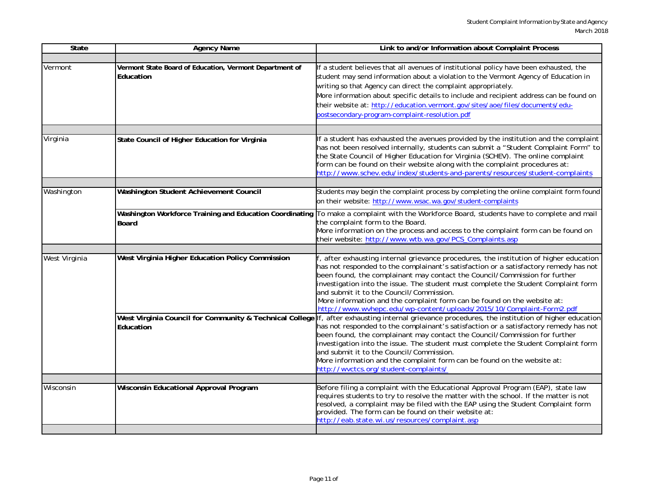| State         | <b>Agency Name</b>                                                                                                 | Link to and/or Information about Complaint Process                                                                                                                                                                                                                                                                                                                                                                                                                                                                                                                          |
|---------------|--------------------------------------------------------------------------------------------------------------------|-----------------------------------------------------------------------------------------------------------------------------------------------------------------------------------------------------------------------------------------------------------------------------------------------------------------------------------------------------------------------------------------------------------------------------------------------------------------------------------------------------------------------------------------------------------------------------|
| Vermont       | Vermont State Board of Education, Vermont Department of<br>Education                                               | If a student believes that all avenues of institutional policy have been exhausted, the<br>student may send information about a violation to the Vermont Agency of Education in<br>writing so that Agency can direct the complaint appropriately.<br>More information about specific details to include and recipient address can be found on<br>their website at: http://education.vermont.gov/sites/aoe/files/documents/edu-<br>postsecondary-program-complaint-resolution.pdf                                                                                            |
| Virginia      | State Council of Higher Education for Virginia                                                                     | If a student has exhausted the avenues provided by the institution and the complaint<br>has not been resolved internally, students can submit a "Student Complaint Form" to<br>the State Council of Higher Education for Virginia (SCHEV). The online complaint<br>form can be found on their website along with the complaint procedures at:<br>http://www.schev.edu/index/students-and-parents/resources/student-complaints                                                                                                                                               |
| Washington    | Washington Student Achievement Council<br>Washington Workforce Training and Education Coordinating<br><b>Board</b> | Students may begin the complaint process by completing the online complaint form found<br>on their website: http://www.wsac.wa.gov/student-complaints<br>To make a complaint with the Workforce Board, students have to complete and mail<br>the complaint form to the Board.<br>More information on the process and access to the complaint form can be found on<br>their website: http://www.wtb.wa.gov/PCS_Complaints.asp                                                                                                                                                |
|               |                                                                                                                    |                                                                                                                                                                                                                                                                                                                                                                                                                                                                                                                                                                             |
| West Virginia | West Virginia Higher Education Policy Commission                                                                   | after exhausting internal grievance procedures, the institution of higher education<br>has not responded to the complainant's satisfaction or a satisfactory remedy has not<br>been found, the complainant may contact the Council/Commission for further<br>investigation into the issue. The student must complete the Student Complaint form<br>and submit it to the Council/Commission.<br>More information and the complaint form can be found on the website at:<br>http://www.wvhepc.edu/wp-content/uploads/2015/10/Complaint-Form2.pdf                              |
|               | Education                                                                                                          | West Virginia Council for Community & Technical College If, after exhausting internal grievance procedures, the institution of higher education<br>has not responded to the complainant's satisfaction or a satisfactory remedy has not<br>been found, the complainant may contact the Council/Commission for further<br>investigation into the issue. The student must complete the Student Complaint form<br>and submit it to the Council/Commission.<br>More information and the complaint form can be found on the website at:<br>http://wvctcs.org/student-complaints/ |
|               |                                                                                                                    |                                                                                                                                                                                                                                                                                                                                                                                                                                                                                                                                                                             |
| Wisconsin     | <b>Wisconsin Educational Approval Program</b>                                                                      | Before filing a complaint with the Educational Approval Program (EAP), state law<br>equires students to try to resolve the matter with the school. If the matter is not<br>resolved, a complaint may be filed with the EAP using the Student Complaint form<br>provided. The form can be found on their website at:<br>http://eab.state.wi.us/resources/complaint.asp                                                                                                                                                                                                       |